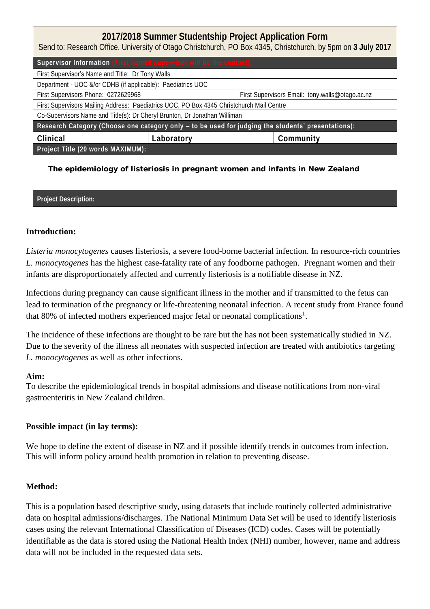| 2017/2018 Summer Studentship Project Application Form<br>Send to: Research Office, University of Otago Christchurch, PO Box 4345, Christchurch, by 5pm on 3 July 2017 |            |                                                 |  |  |
|-----------------------------------------------------------------------------------------------------------------------------------------------------------------------|------------|-------------------------------------------------|--|--|
| Supervisor Information (First named supervisor will be the contact):                                                                                                  |            |                                                 |  |  |
| First Supervisor's Name and Title: Dr Tony Walls                                                                                                                      |            |                                                 |  |  |
| Department - UOC &/or CDHB (if applicable): Paediatrics UOC                                                                                                           |            |                                                 |  |  |
| First Supervisors Phone: 0272629968                                                                                                                                   |            | First Supervisors Email: tony.walls@otago.ac.nz |  |  |
| First Supervisors Mailing Address: Paediatrics UOC, PO Box 4345 Christchurch Mail Centre                                                                              |            |                                                 |  |  |
| Co-Supervisors Name and Title(s): Dr Cheryl Brunton, Dr Jonathan Williman                                                                                             |            |                                                 |  |  |
| Research Category (Choose one category only - to be used for judging the students' presentations):                                                                    |            |                                                 |  |  |
| Clinical                                                                                                                                                              | Laboratory | Community                                       |  |  |
| Project Title (20 words MAXIMUM):                                                                                                                                     |            |                                                 |  |  |
| The epidemiology of listeriosis in pregnant women and infants in New Zealand                                                                                          |            |                                                 |  |  |

# **Introduction:**

**Project Description:**

*Listeria monocytogenes* causes listeriosis, a severe food-borne bacterial infection. In resource-rich countries *L. monocytogenes* has the highest case-fatality rate of any foodborne pathogen. Pregnant women and their infants are disproportionately affected and currently listeriosis is a notifiable disease in NZ.

Infections during pregnancy can cause significant illness in the mother and if transmitted to the fetus can lead to termination of the pregnancy or life-threatening neonatal infection. A recent study from France found that 80% of infected mothers experienced major fetal or neonatal complications<sup>1</sup>.

The incidence of these infections are thought to be rare but the has not been systematically studied in NZ. Due to the severity of the illness all neonates with suspected infection are treated with antibiotics targeting *L. monocytogenes* as well as other infections.

## **Aim:**

To describe the epidemiological trends in hospital admissions and disease notifications from non-viral gastroenteritis in New Zealand children.

## **Possible impact (in lay terms):**

We hope to define the extent of disease in NZ and if possible identify trends in outcomes from infection. This will inform policy around health promotion in relation to preventing disease.

## **Method:**

This is a population based descriptive study, using datasets that include routinely collected administrative data on hospital admissions/discharges. The National Minimum Data Set will be used to identify listeriosis cases using the relevant International Classification of Diseases (ICD) codes. Cases will be potentially identifiable as the data is stored using the National Health Index (NHI) number, however, name and address data will not be included in the requested data sets.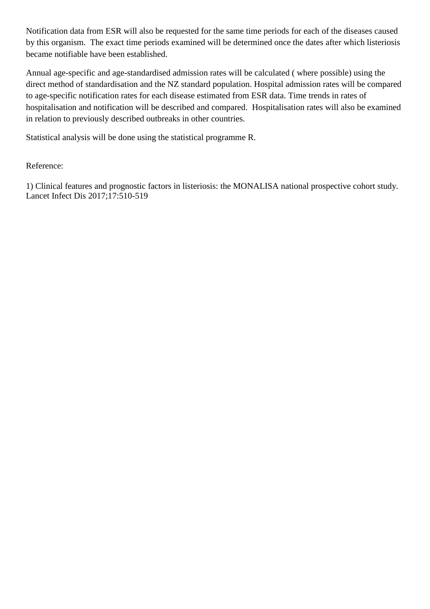Notification data from ESR will also be requested for the same time periods for each of the diseases caused by this organism. The exact time periods examined will be determined once the dates after which listeriosis became notifiable have been established.

Annual age-specific and age-standardised admission rates will be calculated ( where possible) using the direct method of standardisation and the NZ standard population. Hospital admission rates will be compared to age-specific notification rates for each disease estimated from ESR data. Time trends in rates of hospitalisation and notification will be described and compared. Hospitalisation rates will also be examined in relation to previously described outbreaks in other countries.

Statistical analysis will be done using the statistical programme R.

Reference:

1) Clinical features and prognostic factors in listeriosis: the MONALISA national prospective cohort study. Lancet Infect Dis 2017;17:510-519